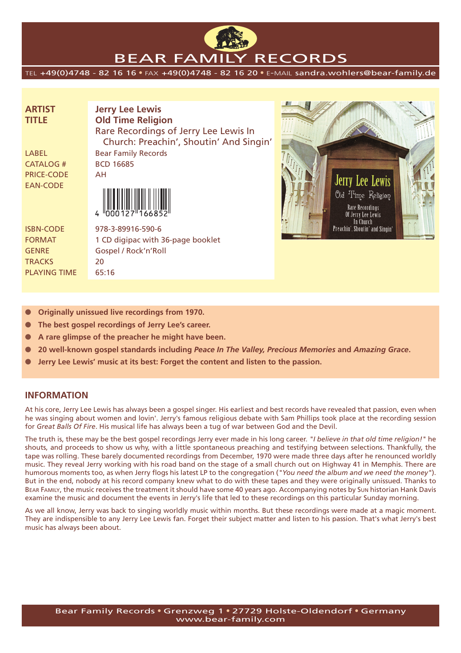

# BEAR FAMILY RECORDS

TEL +49(0)4748 - 82 16 16 • FAX +49(0)4748 - 82 16 20 • E-MAIL sandra.wohlers@bear-family.de

| <b>ARTIST</b>     | <b>Jerry Lee Lewis</b>                  |
|-------------------|-----------------------------------------|
| <b>TITLE</b>      | <b>Old Time Religion</b>                |
|                   | Rare Recordings of Jerry Lee Lewis In   |
|                   | Church: Preachin', Shoutin' And Singin' |
| LABEL             | <b>Bear Family Records</b>              |
| <b>CATALOG #</b>  | <b>BCD 16685</b>                        |
| <b>PRICE-CODE</b> | AH                                      |
| <b>EAN-CODE</b>   |                                         |
|                   |                                         |
|                   |                                         |
| <b>ISBN-CODE</b>  | 978-3-89916-590-6                       |
| <b>FORMAT</b>     | 1 CD digipac with 36-page booklet       |



**Originally unissued live recordings from 1970.** 

GENRE Gospel / Rock'n'Roll

TRACKS 20 PLAYING TIME 65:16

- The best gospel recordings of Jerry Lee's career.
- A rare glimpse of the preacher he might have been.
- **20 well-known gospel standards including** *Peace In The Valley, Precious Memories* **and** *Amazing Grace***.**
- **Jerry Lee Lewis' music at its best: Forget the content and listen to the passion.**

### **INFORMATION**

At his core, Jerry Lee Lewis has always been a gospel singer. His earliest and best records have revealed that passion, even when he was singing about women and lovin'. Jerry's famous religious debate with Sam Phillips took place at the recording session for *Great Balls Of Fire*. His musical life has always been a tug of war between God and the Devil.

The truth is, these may be the best gospel recordings Jerry ever made in his long career. *"I believe in that old time religion!"* he shouts, and proceeds to show us why, with a little spontaneous preaching and testifying between selections. Thankfully, the tape was rolling. These barely documented recordings from December, 1970 were made three days after he renounced worldly music. They reveal Jerry working with his road band on the stage of a small church out on Highway 41 in Memphis. There are humorous moments too, as when Jerry flogs his latest LP to the congregation (*"You need the album and we need the money"*). But in the end, nobody at his record company knew what to do with these tapes and they were originally unissued. Thanks to BEAR FAMILY, the music receives the treatment it should have some 40 years ago. Accompanying notes by Sun historian Hank Davis examine the music and document the events in Jerry's life that led to these recordings on this particular Sunday morning.

As we all know, Jerry was back to singing worldly music within months. But these recordings were made at a magic moment. They are indispensible to any Jerry Lee Lewis fan. Forget their subject matter and listen to his passion. That's what Jerry's best music has always been about.